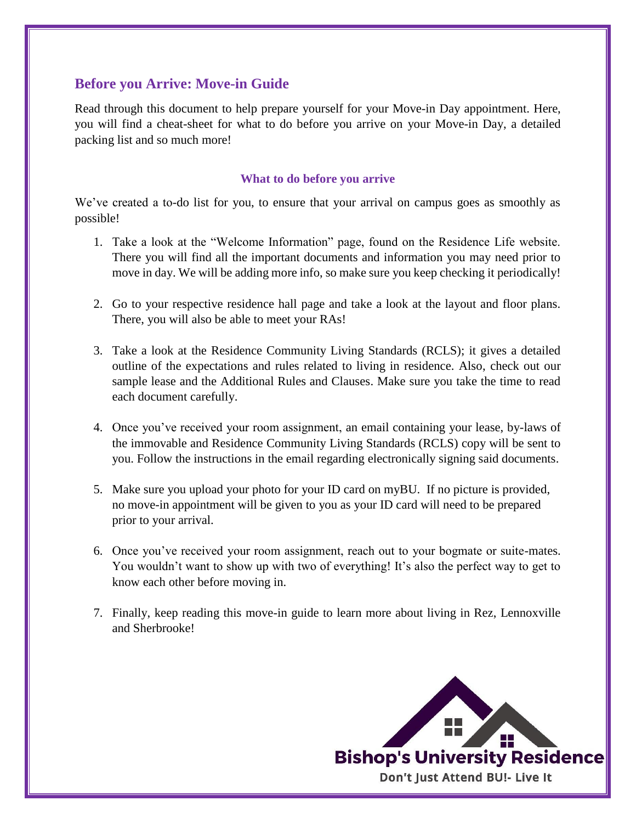# **Before you Arrive: Move-in Guide**

Read through this document to help prepare yourself for your Move-in Day appointment. Here, you will find a cheat-sheet for what to do before you arrive on your Move-in Day, a detailed packing list and so much more!

## **What to do before you arrive**

We've created a to-do list for you, to ensure that your arrival on campus goes as smoothly as possible!

- 1. Take a look at the "Welcome Information" page, found on the Residence Life website. There you will find all the important documents and information you may need prior to move in day. We will be adding more info, so make sure you keep checking it periodically!
- 2. Go to your respective residence hall page and take a look at the layout and floor plans. There, you will also be able to meet your RAs!
- 3. Take a look at the Residence Community Living Standards (RCLS); it gives a detailed outline of the expectations and rules related to living in residence. Also, check out our sample lease and the Additional Rules and Clauses. Make sure you take the time to read each document carefully.
- 4. Once you've received your room assignment, an email containing your lease, by-laws of the immovable and Residence Community Living Standards (RCLS) copy will be sent to you. Follow the instructions in the email regarding electronically signing said documents.
- 5. Make sure you upload your photo for your ID card on myBU. If no picture is provided, no move-in appointment will be given to you as your ID card will need to be prepared prior to your arrival.
- 6. Once you've received your room assignment, reach out to your bogmate or suite-mates. You wouldn't want to show up with two of everything! It's also the perfect way to get to know each other before moving in.
- 7. Finally, keep reading this move-in guide to learn more about living in Rez, Lennoxville and Sherbrooke!

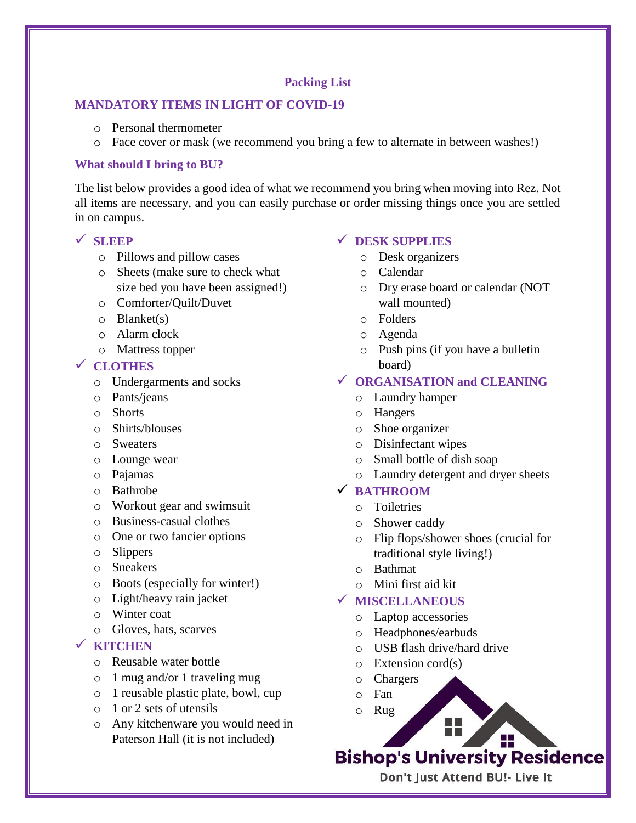## **Packing List**

## **MANDATORY ITEMS IN LIGHT OF COVID-19**

- o Personal thermometer
- o Face cover or mask (we recommend you bring a few to alternate in between washes!)

## **What should I bring to BU?**

The list below provides a good idea of what we recommend you bring when moving into Rez. Not all items are necessary, and you can easily purchase or order missing things once you are settled in on campus.

## ✓ **SLEEP**

- o Pillows and pillow cases
- o Sheets (make sure to check what size bed you have been assigned!)
- o Comforter/Quilt/Duvet
- $\circ$  Blanket(s)
- o Alarm clock
- o Mattress topper

## ✓ **CLOTHES**

- o Undergarments and socks
- o Pants/jeans
- o Shorts
- o Shirts/blouses
- o Sweaters
- o Lounge wear
- o Pajamas
- o Bathrobe
- o Workout gear and swimsuit
- o Business-casual clothes
- o One or two fancier options
- o Slippers
- o Sneakers
- o Boots (especially for winter!)
- o Light/heavy rain jacket
- o Winter coat
- o Gloves, hats, scarves

## ✓ **KITCHEN**

- o Reusable water bottle
- o 1 mug and/or 1 traveling mug
- o 1 reusable plastic plate, bowl, cup
- o 1 or 2 sets of utensils
- o Any kitchenware you would need in Paterson Hall (it is not included)

## ✓ **DESK SUPPLIES**

- o Desk organizers
- o Calendar
- o Dry erase board or calendar (NOT wall mounted)
- o Folders
- o Agenda
- o Push pins (if you have a bulletin board)

# ✓ **ORGANISATION and CLEANING**

- o Laundry hamper
- o Hangers
- o Shoe organizer
- o Disinfectant wipes
- o Small bottle of dish soap
- o Laundry detergent and dryer sheets

## ✓ **BATHROOM**

- o Toiletries
- o Shower caddy
- o Flip flops/shower shoes (crucial for traditional style living!)
- o Bathmat
- o Mini first aid kit

## ✓ **MISCELLANEOUS**

- o Laptop accessories
- o Headphones/earbuds
- o USB flash drive/hard drive
- $\circ$  Extension cord(s)
- o Chargers
- o Fan
- o Rug

# H **Bishop's University Residence**

Don't Just Attend BU!- Live It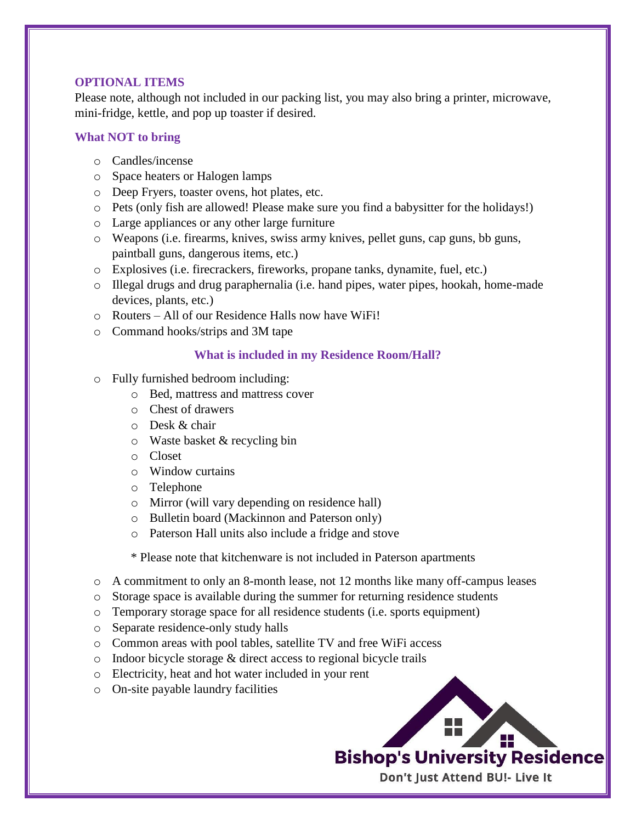## **OPTIONAL ITEMS**

Please note, although not included in our packing list, you may also bring a printer, microwave, mini-fridge, kettle, and pop up toaster if desired.

## **What NOT to bring**

- o Candles/incense
- o Space heaters or Halogen lamps
- o Deep Fryers, toaster ovens, hot plates, etc.
- o Pets (only fish are allowed! Please make sure you find a babysitter for the holidays!)
- o Large appliances or any other large furniture
- o Weapons (i.e. firearms, knives, swiss army knives, pellet guns, cap guns, bb guns, paintball guns, dangerous items, etc.)
- o Explosives (i.e. firecrackers, fireworks, propane tanks, dynamite, fuel, etc.)
- o Illegal drugs and drug paraphernalia (i.e. hand pipes, water pipes, hookah, home-made devices, plants, etc.)
- o Routers All of our Residence Halls now have WiFi!
- o Command hooks/strips and 3M tape

#### **What is included in my Residence Room/Hall?**

- o Fully furnished bedroom including:
	- o Bed, mattress and mattress cover
	- o Chest of drawers
	- o Desk & chair
	- o Waste basket & recycling bin
	- o Closet
	- o Window curtains
	- o Telephone
	- o Mirror (will vary depending on residence hall)
	- o Bulletin board (Mackinnon and Paterson only)
	- o Paterson Hall units also include a fridge and stove

\* Please note that kitchenware is not included in Paterson apartments

- $\circ$  A commitment to only an 8-month lease, not 12 months like many off-campus leases
- $\circ$  Storage space is available during the summer for returning residence students
- o Temporary storage space for all residence students (i.e. sports equipment)
- o Separate residence-only study halls
- o Common areas with pool tables, satellite TV and free WiFi access
- o Indoor bicycle storage & direct access to regional bicycle trails
- o Electricity, heat and hot water included in your rent
- o On-site payable laundry facilities